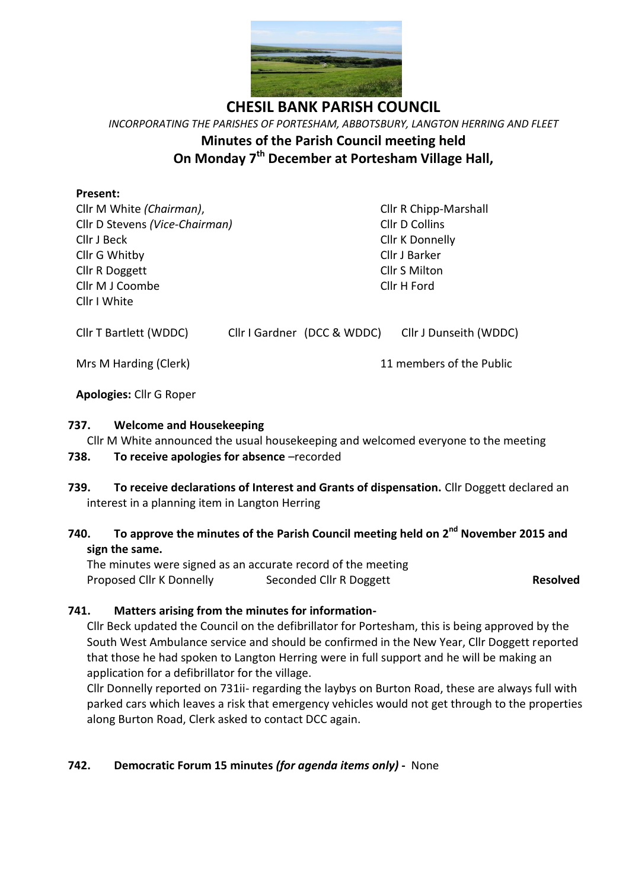

**CHESIL BANK PARISH COUNCIL** *INCORPORATING THE PARISHES OF PORTESHAM, ABBOTSBURY, LANGTON HERRING AND FLEET* **Minutes of the Parish Council meeting held On Monday 7 th December at Portesham Village Hall,**

### **Present:**

Cllr M White *(Chairman)*, Cllr R Chipp-Marshall Cllr D Stevens *(Vice-Chairman)* Cllr D Collins Cllr J Beck Cllr K Donnelly Cllr G Whitby Cllr J Barker Cllr R Doggett Cllr S Milton Cllr M J Coombe Cllr H Ford Cllr I White

Cllr T Bartlett (WDDC) Cllr I Gardner (DCC & WDDC) Cllr J Dunseith (WDDC)

Mrs M Harding (Clerk) 11 members of the Public

**Apologies:** Cllr G Roper

## **737. Welcome and Housekeeping**

Cllr M White announced the usual housekeeping and welcomed everyone to the meeting

# **738. To receive apologies for absence** –recorded

**739. To receive declarations of Interest and Grants of dispensation.** Cllr Doggett declared an interest in a planning item in Langton Herring

# **740. To approve the minutes of the Parish Council meeting held on 2 nd November 2015 and sign the same.**

The minutes were signed as an accurate record of the meeting Proposed Cllr K Donnelly Seconded Cllr R Doggett **Resolved**

# **741. Matters arising from the minutes for information-**

Cllr Beck updated the Council on the defibrillator for Portesham, this is being approved by the South West Ambulance service and should be confirmed in the New Year, Cllr Doggett reported that those he had spoken to Langton Herring were in full support and he will be making an application for a defibrillator for the village.

Cllr Donnelly reported on 731ii- regarding the laybys on Burton Road, these are always full with parked cars which leaves a risk that emergency vehicles would not get through to the properties along Burton Road, Clerk asked to contact DCC again.

# **742. Democratic Forum 15 minutes** *(for agenda items only)* **-** None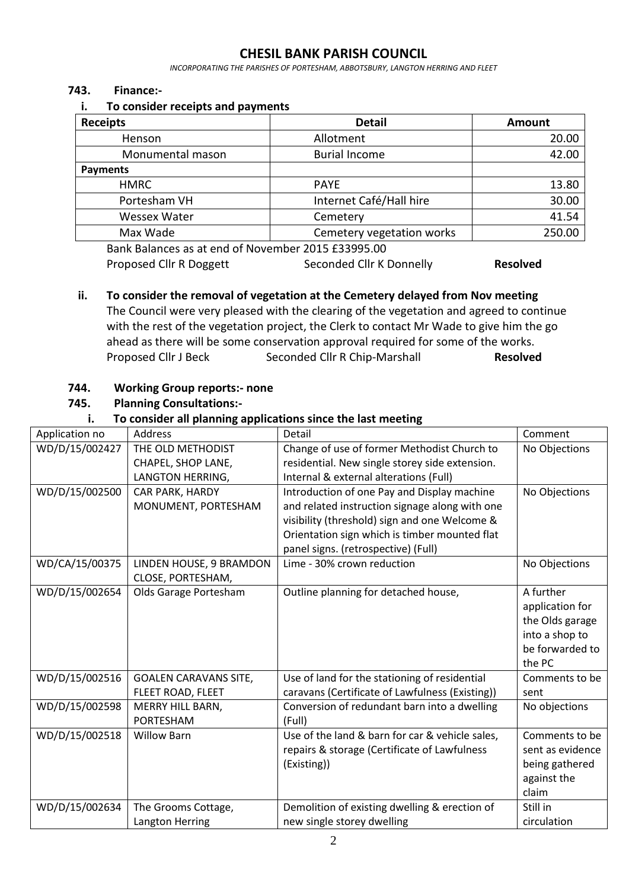# **CHESIL BANK PARISH COUNCIL**

*INCORPORATING THE PARISHES OF PORTESHAM, ABBOTSBURY, LANGTON HERRING AND FLEET*

#### **743. Finance:-**

#### **i. To consider receipts and payments**

| <b>Receipts</b>     | <b>Detail</b>             | <b>Amount</b> |
|---------------------|---------------------------|---------------|
| Henson              | Allotment                 | 20.00         |
| Monumental mason    | <b>Burial Income</b>      | 42.00         |
| <b>Payments</b>     |                           |               |
| <b>HMRC</b>         | <b>PAYE</b>               | 13.80         |
| Portesham VH        | Internet Café/Hall hire   | 30.00         |
| <b>Wessex Water</b> | Cemetery                  | 41.54         |
| Max Wade            | Cemetery vegetation works | 250.00        |
|                     |                           |               |

Bank Balances as at end of November 2015 £33995.00 Proposed Cllr R Doggett Seconded Cllr K Donnelly **Resolved** 

# **ii. To consider the removal of vegetation at the Cemetery delayed from Nov meeting**

The Council were very pleased with the clearing of the vegetation and agreed to continue with the rest of the vegetation project, the Clerk to contact Mr Wade to give him the go ahead as there will be some conservation approval required for some of the works. Proposed Cllr J Beck Seconded Cllr R Chip-Marshall **Resolved**

## **744. Working Group reports:- none**

**745. Planning Consultations:-**

#### **i. To consider all planning applications since the last meeting**

| Application no | Address                      | Detail                                          | Comment          |
|----------------|------------------------------|-------------------------------------------------|------------------|
| WD/D/15/002427 | THE OLD METHODIST            | Change of use of former Methodist Church to     | No Objections    |
|                | CHAPEL, SHOP LANE,           | residential. New single storey side extension.  |                  |
|                | LANGTON HERRING,             | Internal & external alterations (Full)          |                  |
| WD/D/15/002500 | CAR PARK, HARDY              | Introduction of one Pay and Display machine     | No Objections    |
|                | MONUMENT, PORTESHAM          | and related instruction signage along with one  |                  |
|                |                              | visibility (threshold) sign and one Welcome &   |                  |
|                |                              | Orientation sign which is timber mounted flat   |                  |
|                |                              | panel signs. (retrospective) (Full)             |                  |
| WD/CA/15/00375 | LINDEN HOUSE, 9 BRAMDON      | Lime - 30% crown reduction                      | No Objections    |
|                | CLOSE, PORTESHAM,            |                                                 |                  |
| WD/D/15/002654 | Olds Garage Portesham        | Outline planning for detached house,            | A further        |
|                |                              |                                                 | application for  |
|                |                              |                                                 | the Olds garage  |
|                |                              |                                                 | into a shop to   |
|                |                              |                                                 | be forwarded to  |
|                |                              |                                                 | the PC           |
| WD/D/15/002516 | <b>GOALEN CARAVANS SITE,</b> | Use of land for the stationing of residential   | Comments to be   |
|                | FLEET ROAD, FLEET            | caravans (Certificate of Lawfulness (Existing)) | sent             |
| WD/D/15/002598 | MERRY HILL BARN,             | Conversion of redundant barn into a dwelling    | No objections    |
|                | <b>PORTESHAM</b>             | (Full)                                          |                  |
| WD/D/15/002518 | <b>Willow Barn</b>           | Use of the land & barn for car & vehicle sales, | Comments to be   |
|                |                              | repairs & storage (Certificate of Lawfulness    | sent as evidence |
|                |                              | (Existing))                                     | being gathered   |
|                |                              |                                                 | against the      |
|                |                              |                                                 | claim            |
| WD/D/15/002634 | The Grooms Cottage,          | Demolition of existing dwelling & erection of   | Still in         |
|                | Langton Herring              | new single storey dwelling                      | circulation      |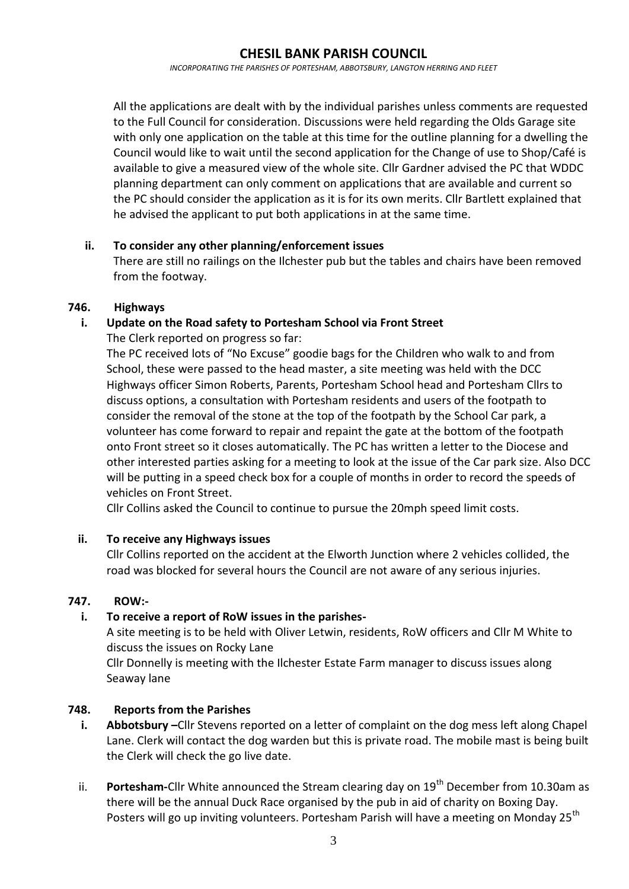## **CHESIL BANK PARISH COUNCIL**

*INCORPORATING THE PARISHES OF PORTESHAM, ABBOTSBURY, LANGTON HERRING AND FLEET*

All the applications are dealt with by the individual parishes unless comments are requested to the Full Council for consideration. Discussions were held regarding the Olds Garage site with only one application on the table at this time for the outline planning for a dwelling the Council would like to wait until the second application for the Change of use to Shop/Café is available to give a measured view of the whole site. Cllr Gardner advised the PC that WDDC planning department can only comment on applications that are available and current so the PC should consider the application as it is for its own merits. Cllr Bartlett explained that he advised the applicant to put both applications in at the same time.

#### **ii. To consider any other planning/enforcement issues**

There are still no railings on the Ilchester pub but the tables and chairs have been removed from the footway.

#### **746. Highways**

## **i. Update on the Road safety to Portesham School via Front Street**

The Clerk reported on progress so far:

The PC received lots of "No Excuse" goodie bags for the Children who walk to and from School, these were passed to the head master, a site meeting was held with the DCC Highways officer Simon Roberts, Parents, Portesham School head and Portesham Cllrs to discuss options, a consultation with Portesham residents and users of the footpath to consider the removal of the stone at the top of the footpath by the School Car park, a volunteer has come forward to repair and repaint the gate at the bottom of the footpath onto Front street so it closes automatically. The PC has written a letter to the Diocese and other interested parties asking for a meeting to look at the issue of the Car park size. Also DCC will be putting in a speed check box for a couple of months in order to record the speeds of vehicles on Front Street.

Cllr Collins asked the Council to continue to pursue the 20mph speed limit costs.

## **ii. To receive any Highways issues**

Cllr Collins reported on the accident at the Elworth Junction where 2 vehicles collided, the road was blocked for several hours the Council are not aware of any serious injuries.

#### **747. ROW:-**

## **i. To receive a report of RoW issues in the parishes-**

A site meeting is to be held with Oliver Letwin, residents, RoW officers and Cllr M White to discuss the issues on Rocky Lane

Cllr Donnelly is meeting with the Ilchester Estate Farm manager to discuss issues along Seaway lane

## **748. Reports from the Parishes**

- **i. Abbotsbury –**Cllr Stevens reported on a letter of complaint on the dog mess left along Chapel Lane. Clerk will contact the dog warden but this is private road. The mobile mast is being built the Clerk will check the go live date.
- ii. **Portesham-**Cllr White announced the Stream clearing day on 19<sup>th</sup> December from 10.30am as there will be the annual Duck Race organised by the pub in aid of charity on Boxing Day. Posters will go up inviting volunteers. Portesham Parish will have a meeting on Monday 25<sup>th</sup>